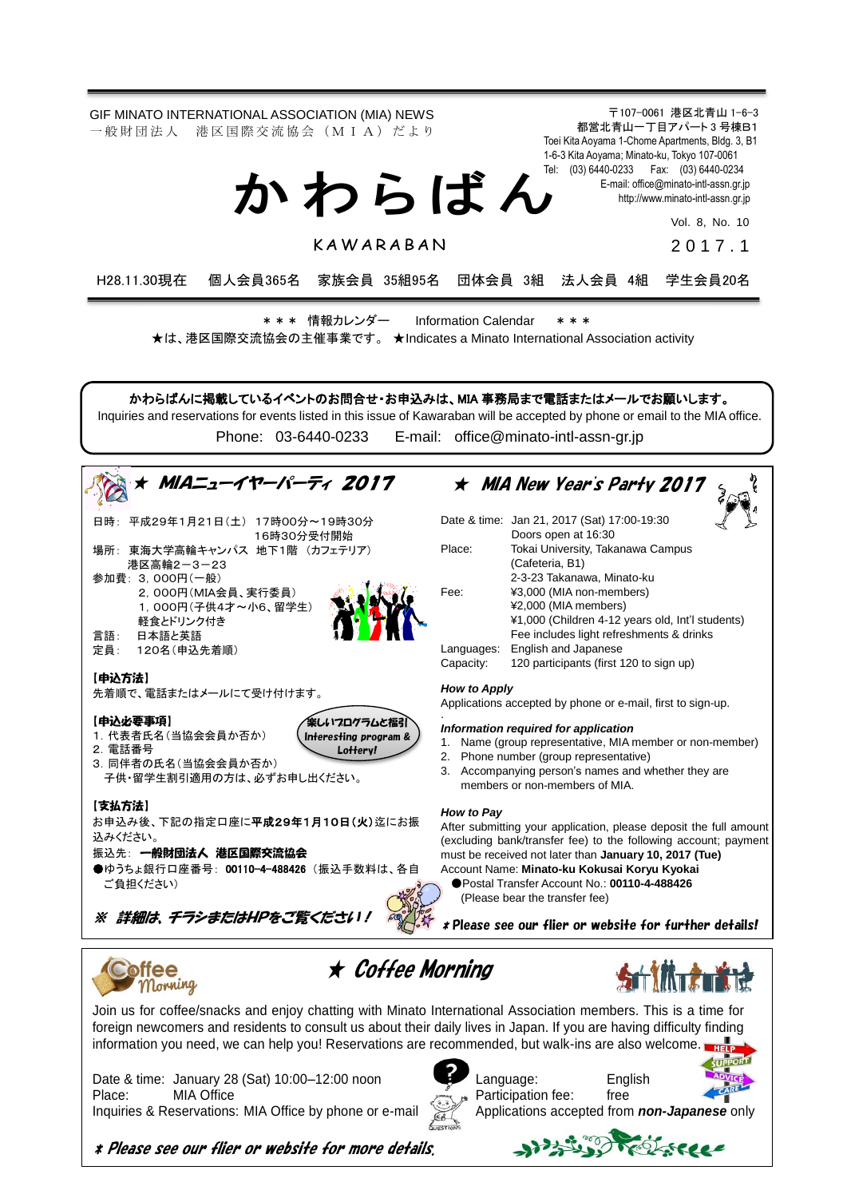〒107-0061 港区北青山 1-6-3 GIF MINATO INTERNATIONAL ASSOCIATION (MIA) NEWS 都営北青山一丁目アパート 3 号棟B1 一 般 財 団 法 人 港 区 国 際 交 流 協 会 (M I A) だ よ り Toei Kita Aoyama 1-Chome Apartments, Bldg. 3, B1 1-6-3 Kita Aoyama; Minato-ku, Tokyo 107-0061 Tel: (03) 6440-0233 Fax: (03) 6440-0234 か わ ら ば ん E-mail[: office@minato-intl-assn.gr.jp](mailto:office@minato-intl-assn.gr.jp) [http://www.minato-intl-assn.gr.jp](http://www.minato-intl-assn.gr.jp/) Vol. 8, No. 10 **KAWARABAN** 201 7 . 1 H28.11.30現在 個人会員365名 家族会員 35組95名 団体会員 3組 法人会員 4組 学生会員20名 \* \* \* 情報カレンダー Information Calendar \* \* \* ★は、港区国際交流協会の主催事業です。 ★Indicates a Minato International Association activity かわらばんに掲載しているイベントのお問合せ・お申込みは、MIA 事務局まで電話またはメールでお願いします。 Inquiries and reservations for events listed in this issue of Kawaraban will be accepted by phone or email to the MIA office. Phone: [03-6440-0233](mailto:TEL:%0903-6440-0233) E-mail: [office@minato-intl-assn-gr.jp](mailto:office@minato-intl-assn-gr.jp) ★ MIA New Year's Party 2017 ★ MIAニューイヤーパーティ 2017  $\int$ 日時: 平成29年1月21日(土) 17時00分~19時30分 Date & time: Jan 21, 2017 (Sat) 17:00-19:30 Doors open at 16:30 16時30分受付開始 場所: 東海大学高輪キャンパス 地下1階 (カフェテリア) Place: Tokai University, Takanawa Campus (Cafeteria, B1) 港区高輪2-3-23 2-3-23 Takanawa, Minato-ku 参加費: 3,000円(一般) Fee: ¥3,000 (MIA non-members) 2,000円(MIA会員、実行委員) ¥2,000 (MIA members) 1,000円(子供4才~小6、留学生) ¥1,000 (Children 4-12 years old, Int'l students) 軽食とドリンク付き 言語: 日本語と英語 Fee includes light refreshments & drinks Languages: English and Japanese 定員: 120名(申込先着順) Capacity: 120 participants (first 120 to sign up) 【申込方法】 *How to Apply* 先着順で、電話またはメールにて受け付けます。 Applications accepted by phone or e-mail, first to sign-up. . 【申込必要事項】 ※しいフログラムと福引 *Information required for application* 1. 1.代表者氏名(当協会会員か否か) Interesting program & 1. Name (group representative, MIA member or non-member) 2.電話番号 Lottery! 2. Phone number (group representative) 3.同伴者の氏名(当協会会員か否か) 3. Accompanying person's names and whether they are 子供・留学生割引適用の方は、必ずお申し出ください。 members or non-members of MIA. 【支払方法】 *How to Pay* お申込み後、下記の指定口座に平成29年1月10日(火)迄にお振 After submitting your application, please deposit the full amount 込みください。 (excluding bank/transfer fee) to the following account; payment 振込先: 一般財団法人 港区国際交流協会 must be received not later than **January 10, 2017 (Tue)** ●ゆうちょ銀行口座番号: 00110-4-488426 (振込手数料は、各自 Account Name: **Minato-ku Kokusai Koryu Kyokai** ●Postal Transfer Account No.: **00110-4-488426** ご負担ください) (Please bear the transfer fee) ※ 詳細は、チラシまたはHPをご覧ください! \* Please see our flier or website for further details! ★ Coffee Morning **offee** Morning Join us for coffee/snacks and enjoy chatting with Minato International Association members. This is a time for foreign newcomers and residents to consult us about their daily lives in Japan. If you are having difficulty finding information you need, we can help you! Reservations are recommended, but walk-ins are also welcome. Date & time: January 28 (Sat) 10:00-12:00 noon Language: English Place: MIA Office Place: Free Inquiries & Reservations: MIA Office by phone or e-mail Applications accepted from **non-Japanese** only

\* Please see our flier or website for more details.